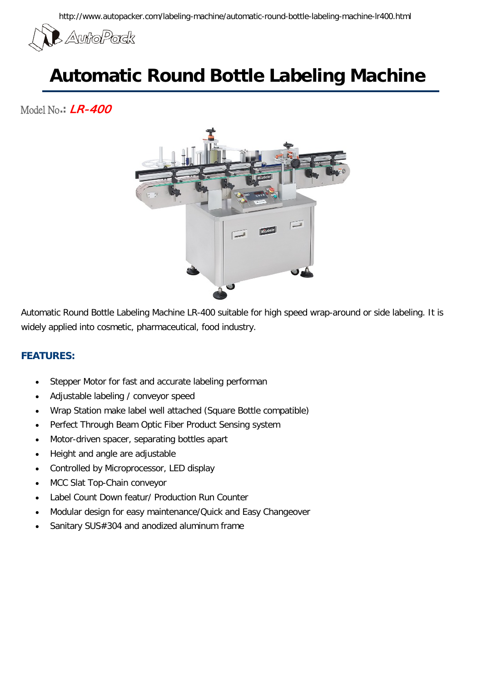

## **Automatic Round Bottle Labeling Machine**

Model No**.:** LR-400



Automatic Round Bottle Labeling Machine LR-400 suitable for high speed wrap-around or side labeling. It is widely applied into cosmetic, pharmaceutical, food industry.

## **FEATURES:**

- Stepper Motor for fast and accurate labeling performan
- Adjustable labeling / conveyor speed
- Wrap Station make label well attached (Square Bottle compatible)
- Perfect Through Beam Optic Fiber Product Sensing system
- Motor-driven spacer, separating bottles apart
- Height and angle are adjustable
- Controlled by Microprocessor, LED display
- MCC Slat Top-Chain conveyor
- Label Count Down featur/ Production Run Counter
- Modular design for easy maintenance/Quick and Easy Changeover
- Sanitary SUS#304 and anodized aluminum frame